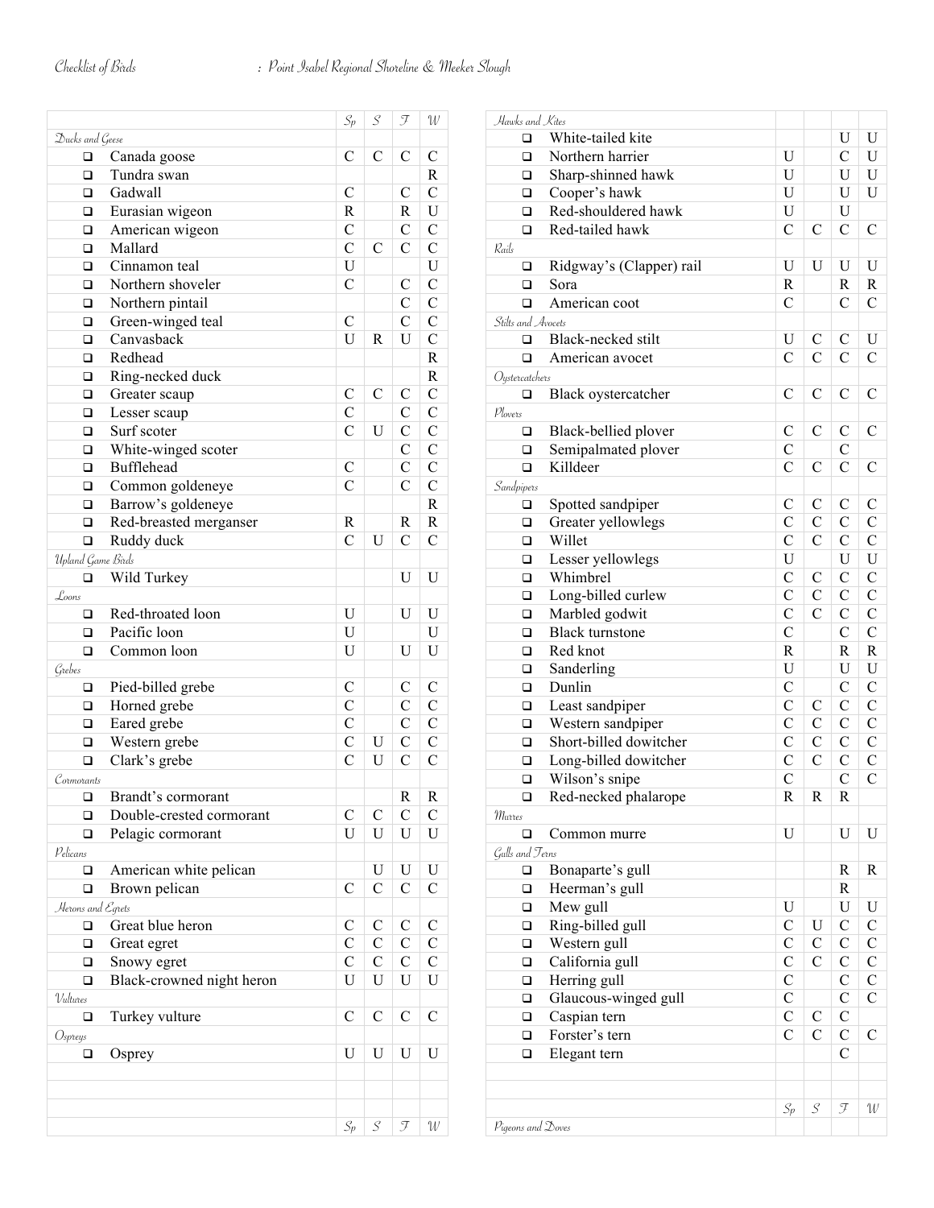|                   |                           | $S_p$          | $\mathcal{S}_{0}^{(n)}$     | J             | W              |
|-------------------|---------------------------|----------------|-----------------------------|---------------|----------------|
| Ducks and Geese   |                           |                |                             |               |                |
| □                 | Canada goose              | C              | $\mathcal{C}$               | C             | C              |
| $\Box$            | Tundra swan               |                |                             |               | $\mathbf R$    |
| □                 | Gadwall                   | C              |                             | С             | $\overline{C}$ |
| □                 | Eurasian wigeon           | R              |                             | R             | $\mathbf U$    |
| □                 | American wigeon           | $\mathcal{C}$  |                             | $\mathcal{C}$ | $\mathcal{C}$  |
| $\Box$            | Mallard                   | $\overline{C}$ | $\mathcal{C}$               | $\mathsf{C}$  | $\mathcal{C}$  |
|                   | Cinnamon teal             | U              |                             |               | ${\bf U}$      |
| □                 |                           |                |                             |               | $\overline{C}$ |
| □                 | Northern shoveler         | $\mathcal{C}$  |                             | С             |                |
| □                 | Northern pintail          |                |                             | $\mathsf{C}$  | $\mathsf{C}$   |
| □                 | Green-winged teal         | $\mathcal{C}$  |                             | $\mathbf C$   | $\mathsf{C}$   |
| □                 | Canvasback                | U              | R                           | U             | $\overline{C}$ |
| □                 | Redhead                   |                |                             |               | $\mathbf R$    |
| □                 | Ring-necked duck          |                |                             |               | $\mathbf R$    |
| □                 | Greater scaup             | C              | $\mathcal{C}$               | C             | $\mathsf{C}$   |
| □                 | Lesser scaup              | $\mathcal{C}$  |                             | C             | $\mathsf{C}$   |
| □                 | Surf scoter               | $\overline{C}$ | U                           | $\mathsf{C}$  | $\mathsf{C}$   |
| $\Box$            | White-winged scoter       |                |                             | $\mathsf{C}$  | $\mathsf{C}$   |
| □                 | <b>Bufflehead</b>         | $\mathcal{C}$  |                             | $\mathsf{C}$  | $\mathsf{C}$   |
| □                 | Common goldeneye          | $\mathcal{C}$  |                             | $\mathsf{C}$  | $\mathsf{C}$   |
| $\Box$            | Barrow's goldeneye        |                |                             |               | $\mathbf R$    |
| □                 | Red-breasted merganser    | R              |                             | R             | $\mathbf R$    |
| $\Box$            | Ruddy duck                | $\mathcal{C}$  | U                           | $\mathcal{C}$ | $\mathcal{C}$  |
| Upland Game Birds |                           |                |                             |               |                |
| $\Box$            | Wild Turkey               |                |                             | U             | U              |
|                   |                           |                |                             |               |                |
| Loons             |                           |                |                             |               |                |
| $\Box$            | Red-throated loon         | U              |                             | U             | U              |
| □                 | Pacific loon              | U              |                             |               | U              |
| $\Box$            | Common loon               | U              |                             | U             | U              |
| Grebes            |                           |                |                             |               |                |
| □                 | Pied-billed grebe         | C              |                             | C             | C              |
| □                 | Horned grebe              | $\mathbf C$    |                             | C             | $\mathsf{C}$   |
| $\Box$            | Eared grebe               | $\mathcal{C}$  |                             | $\mathbf C$   | $\mathsf{C}$   |
| □                 | Western grebe             | $\mathbf C$    | $\mathbf U$                 | $\mathbf{C}$  | $\mathcal{C}$  |
| ◻                 | Clark's grebe             | $\overline{C}$ | U                           | $\mathsf{C}$  | $\overline{C}$ |
| Cormorants        |                           |                |                             |               |                |
| □                 | Brandt's cormorant        |                |                             | $\mathbf R$   | R              |
| □                 | Double-crested cormorant  | C              | C                           | $\mathcal{C}$ | C              |
| $\Box$            | Pelagic cormorant         | U              | U                           | U             | U              |
| Pelicans          |                           |                |                             |               |                |
| □                 | American white pelican    |                | U                           | U             | U              |
| $\Box$            | Brown pelican             | C              | $\mathcal{C}$               | $\mathsf C$   | C              |
|                   |                           |                |                             |               |                |
| Herons and Egrets |                           |                |                             |               |                |
| ❏                 | Great blue heron          | С              | C                           | C             | C              |
| □                 | Great egret               | $\mathcal{C}$  | $\mathcal{C}$               | $\mathcal{C}$ | C              |
| □                 | Snowy egret               | $\mathcal{C}$  | $\mathcal{C}$               | $\mathsf C$   | C              |
| $\Box$            | Black-crowned night heron | U              | U                           | U             | U              |
| Vultures          |                           |                |                             |               |                |
| □                 | Turkey vulture            | C              | C                           | C             | C              |
| Ospreys           |                           |                |                             |               |                |
| □                 | Osprey                    | U              | U                           | U             | U              |
|                   |                           |                |                             |               |                |
|                   |                           |                |                             |               |                |
|                   |                           |                |                             |               |                |
|                   |                           | $S_p$          | $\mathcal{S}_{\mathcal{S}}$ | T             | ${\mathcal W}$ |
|                   |                           |                |                             |               |                |

| Hawks and Kites    | White-tailed kite        |                |               | U              | U             |
|--------------------|--------------------------|----------------|---------------|----------------|---------------|
| □                  |                          |                |               |                |               |
| □                  | Northern harrier         | U              |               | $\mathcal{C}$  | U             |
| □                  | Sharp-shinned hawk       | U              |               | U              | U             |
| □                  | Cooper's hawk            | U              |               | U              | U             |
| □                  | Red-shouldered hawk      | U              |               | U              |               |
| □                  | Red-tailed hawk          | $\mathcal{C}$  | C             | $\mathcal{C}$  | $\mathcal{C}$ |
| Rails              |                          |                |               |                |               |
| ❏                  | Ridgway's (Clapper) rail | U              | U             | U              | U             |
| □                  | Sora                     | R              |               | $\mathbb{R}$   | R             |
| □                  | American coot            | $\mathcal{C}$  |               | $\mathcal{C}$  | $\mathcal{C}$ |
| Stilts and Avocets |                          |                |               |                |               |
| □                  | Black-necked stilt       | U              | C             | $\mathcal{C}$  | U             |
| $\Box$             | American avocet          | $\mathcal{C}$  | $\mathcal{C}$ | $\mathcal{C}$  | $\mathcal{C}$ |
| Oystercatchers     |                          |                |               |                |               |
| □                  | Black oystercatcher      | $\mathcal{C}$  | $\mathcal{C}$ | $\mathcal{C}$  | C             |
| Plovers            |                          |                |               |                |               |
| □                  | Black-bellied plover     | C              | C             | $\mathcal{C}$  | C             |
| □                  | Semipalmated plover      | $\mathcal{C}$  |               | $\mathcal{C}$  |               |
| □                  | Killdeer                 | $\overline{C}$ | $\mathcal{C}$ | C              | $\mathcal{C}$ |
| Sandpipers         |                          |                |               |                |               |
| ❏                  | Spotted sandpiper        | C              | C             | C              | C             |
| □                  | Greater yellowlegs       | $\mathcal{C}$  | $\mathcal{C}$ | $\mathcal{C}$  | $\mathcal{C}$ |
| □                  | Willet                   | $\mathcal{C}$  | $\mathcal{C}$ | $\mathcal{C}$  | $\mathcal{C}$ |
| □                  | Lesser yellowlegs        | U              |               | U              | U             |
| □                  | Whimbrel                 | $\mathcal{C}$  | C             | $\mathcal{C}$  | $\mathcal{C}$ |
|                    |                          | $\mathcal{C}$  | $\mathcal{C}$ | $\mathcal{C}$  | $\mathcal{C}$ |
| □                  | Long-billed curlew       |                |               |                | $\mathcal{C}$ |
| □                  | Marbled godwit           | $\mathcal{C}$  | $\mathcal{C}$ | $\mathcal{C}$  |               |
| □                  | <b>Black</b> turnstone   | $\mathcal{C}$  |               | $\mathcal{C}$  | $\mathcal{C}$ |
| □                  | Red knot                 | R              |               | R              | R             |
| □                  | Sanderling               | U              |               | U              | U             |
| □                  | Dunlin                   | $\mathcal{C}$  |               | $\mathcal{C}$  | $\mathcal{C}$ |
| □                  | Least sandpiper          | $\mathcal{C}$  | С             | $\mathcal{C}$  | $\mathcal{C}$ |
| □                  | Western sandpiper        | $\mathcal{C}$  | $\mathcal{C}$ | $\mathcal{C}$  | $\mathcal{C}$ |
| □                  | Short-billed dowitcher   | $\mathcal{C}$  | $\mathcal{C}$ | $\mathcal{C}$  | $\mathcal{C}$ |
| □                  | Long-billed dowitcher    | $\mathcal{C}$  | $\mathcal{C}$ | $\mathcal{C}$  | $\mathcal{C}$ |
| ❏                  | Wilson's snipe           | $\mathcal{C}$  |               | $\overline{C}$ | $\mathcal{C}$ |
| ❏                  | Red-necked phalarope     | R              | R             | R              |               |
| Murres             |                          |                |               |                |               |
| $\Box$             | Common murre             | U              |               | U              | U             |
| Gulls and Terns    |                          |                |               |                |               |
| ❏                  | Bonaparte's gull         |                |               | R              | R             |
| □                  | Heerman's gull           |                |               | R              |               |
| □                  | Mew gull                 | U              |               | U              | U             |
| □                  | Ring-billed gull         | C              | U             | $\mathcal{C}$  | C             |
| □                  | Western gull             | C              | $\mathsf{C}$  | C              | $\mathsf{C}$  |
| □                  | California gull          | $\mathcal{C}$  | C             | C              | $\mathsf{C}$  |
| □                  | Herring gull             | C              |               | $\mathcal{C}$  | $\mathsf{C}$  |
| □                  | Glaucous-winged gull     | C              |               | C              | $\mathcal{C}$ |
| ❏                  | Caspian tern             | C              | $\mathcal{C}$ | С              |               |
| □                  | Forster's tern           | C              | C             | C              | C             |
| □                  | Elegant tern             |                |               | C              |               |
|                    |                          |                |               |                |               |
|                    |                          |                |               |                |               |
|                    |                          | $S_p$          | S             | T              | W             |
|                    |                          |                |               |                |               |
| Pigeons and Doves  |                          |                |               |                |               |